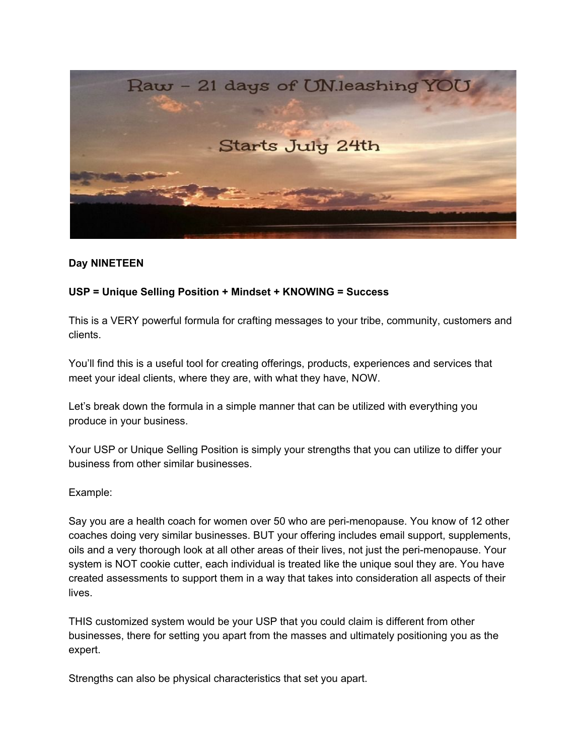

## **Day NINETEEN**

### **USP = Unique Selling Position + Mindset + KNOWING = Success**

This is a VERY powerful formula for crafting messages to your tribe, community, customers and clients.

You'll find this is a useful tool for creating offerings, products, experiences and services that meet your ideal clients, where they are, with what they have, NOW.

Let's break down the formula in a simple manner that can be utilized with everything you produce in your business.

Your USP or Unique Selling Position is simply your strengths that you can utilize to differ your business from other similar businesses.

#### Example:

Say you are a health coach for women over 50 who are peri-menopause. You know of 12 other coaches doing very similar businesses. BUT your offering includes email support, supplements, oils and a very thorough look at all other areas of their lives, not just the peri-menopause. Your system is NOT cookie cutter, each individual is treated like the unique soul they are. You have created assessments to support them in a way that takes into consideration all aspects of their lives.

THIS customized system would be your USP that you could claim is different from other businesses, there for setting you apart from the masses and ultimately positioning you as the expert.

Strengths can also be physical characteristics that set you apart.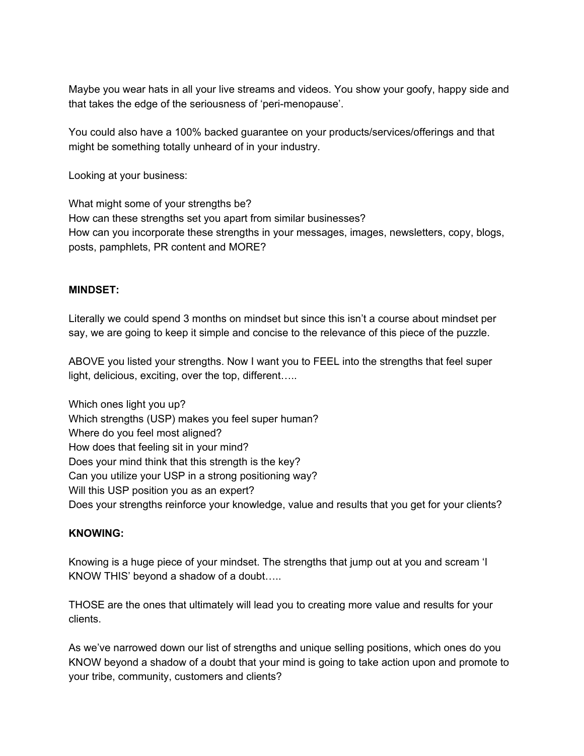Maybe you wear hats in all your live streams and videos. You show your goofy, happy side and that takes the edge of the seriousness of 'peri-menopause'.

You could also have a 100% backed guarantee on your products/services/offerings and that might be something totally unheard of in your industry.

Looking at your business:

What might some of your strengths be? How can these strengths set you apart from similar businesses? How can you incorporate these strengths in your messages, images, newsletters, copy, blogs, posts, pamphlets, PR content and MORE?

## **MINDSET:**

Literally we could spend 3 months on mindset but since this isn't a course about mindset per say, we are going to keep it simple and concise to the relevance of this piece of the puzzle.

ABOVE you listed your strengths. Now I want you to FEEL into the strengths that feel super light, delicious, exciting, over the top, different…..

Which ones light you up? Which strengths (USP) makes you feel super human? Where do you feel most aligned? How does that feeling sit in your mind? Does your mind think that this strength is the key? Can you utilize your USP in a strong positioning way? Will this USP position you as an expert? Does your strengths reinforce your knowledge, value and results that you get for your clients?

# **KNOWING:**

Knowing is a huge piece of your mindset. The strengths that jump out at you and scream 'I KNOW THIS' beyond a shadow of a doubt…..

THOSE are the ones that ultimately will lead you to creating more value and results for your clients.

As we've narrowed down our list of strengths and unique selling positions, which ones do you KNOW beyond a shadow of a doubt that your mind is going to take action upon and promote to your tribe, community, customers and clients?